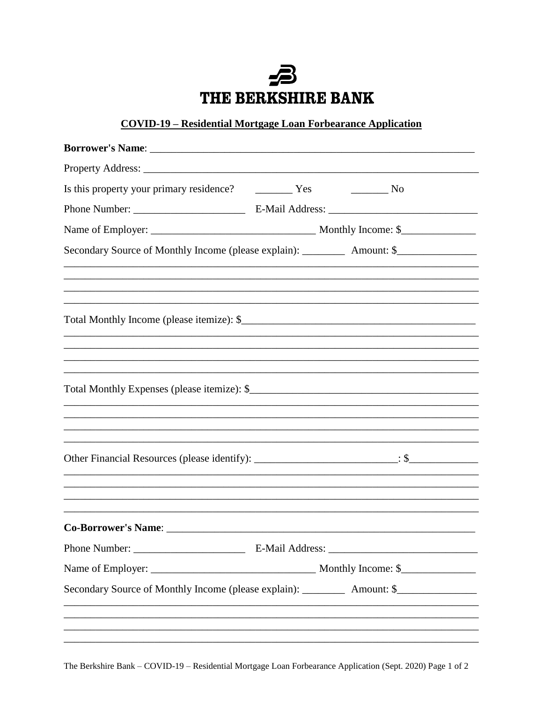## 5 THE BERKSHIRE BANK

## **COVID-19 - Residential Mortgage Loan Forbearance Application**

| Is this property your primary residence? The Yes                                                     |  | $\frac{1}{\sqrt{1-\frac{1}{2}}}\text{No}$                                        |
|------------------------------------------------------------------------------------------------------|--|----------------------------------------------------------------------------------|
|                                                                                                      |  |                                                                                  |
|                                                                                                      |  |                                                                                  |
| Secondary Source of Monthly Income (please explain): ____________ Amount: \$________________________ |  |                                                                                  |
|                                                                                                      |  |                                                                                  |
|                                                                                                      |  |                                                                                  |
|                                                                                                      |  |                                                                                  |
|                                                                                                      |  |                                                                                  |
|                                                                                                      |  |                                                                                  |
|                                                                                                      |  |                                                                                  |
|                                                                                                      |  | ,我们也不能在这里的时候,我们也不能在这里的时候,我们也不能会在这里的时候,我们也不能会在这里的时候,我们也不能会在这里的时候,我们也不能会在这里的时候,我们也 |
| ,我们也不能在这里的时候,我们也不能在这里的时候,我们也不能会在这里,我们也不能会不能会不能会不能会不能会不能会不能会。""我们的是我们的,我们也不能会不能会不                     |  |                                                                                  |
|                                                                                                      |  |                                                                                  |
|                                                                                                      |  |                                                                                  |
|                                                                                                      |  |                                                                                  |
|                                                                                                      |  |                                                                                  |
|                                                                                                      |  |                                                                                  |
|                                                                                                      |  |                                                                                  |
| Secondary Source of Monthly Income (please explain): ____________ Amount: \$________________________ |  |                                                                                  |
|                                                                                                      |  |                                                                                  |
|                                                                                                      |  |                                                                                  |

The Berkshire Bank - COVID-19 - Residential Mortgage Loan Forbearance Application (Sept. 2020) Page 1 of 2